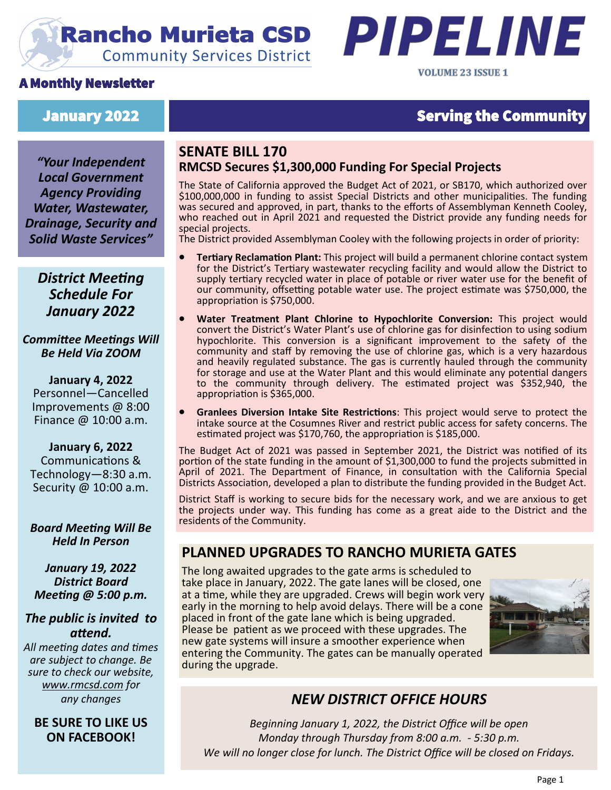## **Rancho Murieta CSD Community Services District**





#### January 2022 Serving the Community

*"Your Independent Local Government Agency Providing Water, Wastewater, Drainage, Security and Solid Waste Services"*

#### **SENATE BILL 170 RMCSD Secures \$1,300,000 Funding For Special Projects**

The State of California approved the Budget Act of 2021, or SB170, which authorized over \$100,000,000 in funding to assist Special Districts and other municipalities. The funding was secured and approved, in part, thanks to the efforts of Assemblyman Kenneth Cooley, who reached out in April 2021 and requested the District provide any funding needs for special projects.

The District provided Assemblyman Cooley with the following projects in order of priority:

- **Tertiary Reclamation Plant:** This project will build a permanent chlorine contact system for the District's Tertiary wastewater recycling facility and would allow the District to supply tertiary recycled water in place of potable or river water use for the benefit of our community, offsetting potable water use. The project estimate was \$750,000, the appropriation is \$750,000.
- **Water Treatment Plant Chlorine to Hypochlorite Conversion:** This project would convert the District's Water Plant's use of chlorine gas for disinfection to using sodium hypochlorite. This conversion is a significant improvement to the safety of the community and staff by removing the use of chlorine gas, which is a very hazardous and heavily regulated substance. The gas is currently hauled through the community for storage and use at the Water Plant and this would eliminate any potential dangers to the community through delivery. The estimated project was \$352,940, the appropriation is \$365,000.
- **Granlees Diversion Intake Site Restrictions**: This project would serve to protect the intake source at the Cosumnes River and restrict public access for safety concerns. The estimated project was \$170,760, the appropriation is \$185,000.

The Budget Act of 2021 was passed in September 2021, the District was notified of its portion of the state funding in the amount of \$1,300,000 to fund the projects submitted in April of 2021. The Department of Finance, in consultation with the California Special Districts Association, developed a plan to distribute the funding provided in the Budget Act.

District Staff is working to secure bids for the necessary work, and we are anxious to get the projects under way. This funding has come as a great aide to the District and the residents of the Community.

#### **PLANNED UPGRADES TO RANCHO MURIETA GATES**

The long awaited upgrades to the gate arms is scheduled to take place in January, 2022. The gate lanes will be closed, one at a time, while they are upgraded. Crews will begin work very early in the morning to help avoid delays. There will be a cone placed in front of the gate lane which is being upgraded. Please be patient as we proceed with these upgrades. The new gate systems will insure a smoother experience when entering the Community. The gates can be manually operated during the upgrade.



#### *NEW DISTRICT OFFICE HOURS*

*Beginning January 1, 2022, the District Office will be open Monday through Thursday from 8:00 a.m. - 5:30 p.m. We will no longer close for lunch. The District Office will be closed on Fridays.*

## *District Meeting Schedule For January 2022*

*Committee Meetings Will Be Held Via ZOOM*

**January 4, 2022** Personnel—Cancelled Improvements @ 8:00 Finance @ 10:00 a.m.

**January 6, 2022** Communications & Technology—8:30 a.m. Security @ 10:00 a.m.

#### *Board Meeting Will Be Held In Person*

*January 19, 2022 District Board Meeting @ 5:00 p.m.*

#### *The public is invited to attend.*

*All meeting dates and times are subject to change. Be sure to check our website, [www.rmcsd.com](http://www.rmcsd.com) for any changes*

**BE SURE TO LIKE US ON FACEBOOK!**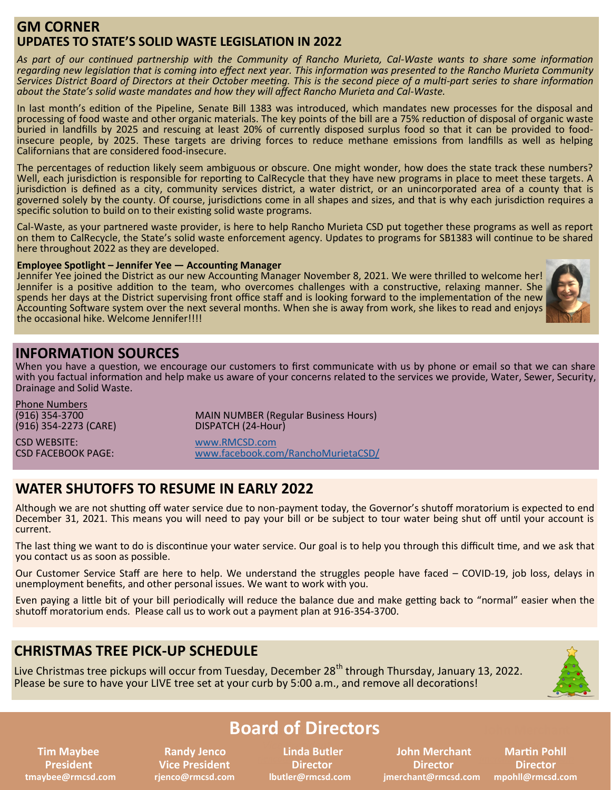#### **GM CORNER UPDATES TO STATE'S SOLID WASTE LEGISLATION IN 2022**

*As part of our continued partnership with the Community of Rancho Murieta, Cal-Waste wants to share some information regarding new legislation that is coming into effect next year. This information was presented to the Rancho Murieta Community Services District Board of Directors at their October meeting. This is the second piece of a multi-part series to share information about the State's solid waste mandates and how they will affect Rancho Murieta and Cal-Waste.*

In last month's edition of the Pipeline, Senate Bill 1383 was introduced, which mandates new processes for the disposal and processing of food waste and other organic materials. The key points of the bill are a 75% reduction of disposal of organic waste buried in landfills by 2025 and rescuing at least 20% of currently disposed surplus food so that it can be provided to foodinsecure people, by 2025. These targets are driving forces to reduce methane emissions from landfills as well as helping Californians that are considered food-insecure.

The percentages of reduction likely seem ambiguous or obscure. One might wonder, how does the state track these numbers? Well, each jurisdiction is responsible for reporting to CalRecycle that they have new programs in place to meet these targets. A jurisdiction is defined as a city, community services district, a water district, or an unincorporated area of a county that is governed solely by the county. Of course, jurisdictions come in all shapes and sizes, and that is why each jurisdiction requires a specific solution to build on to their existing solid waste programs.

Cal-Waste, as your partnered waste provider, is here to help Rancho Murieta CSD put together these programs as well as report on them to CalRecycle, the State's solid waste enforcement agency. Updates to programs for SB1383 will continue to be shared here throughout 2022 as they are developed.

#### **Employee Spotlight – Jennifer Yee — Accounting Manager**

Jennifer Yee joined the District as our new Accounting Manager November 8, 2021. We were thrilled to welcome her! Jennifer is a positive addition to the team, who overcomes challenges with a constructive, relaxing manner. She spends her days at the District supervising front office staff and is looking forward to the implementation of the new Accounting Software system over the next several months. When she is away from work, she likes to read and enjoys the occasional hike. Welcome Jennifer!!!!



#### **INFORMATION SOURCES**

When you have a question, we encourage our customers to first communicate with us by phone or email so that we can share with you factual information and help make us aware of your concerns related to the services we provide, Water, Sewer, Security, Drainage and Solid Waste.

| <b>Phone Numbers</b><br>(916) 354-3700<br>(916) 354-2273 (CARE) | <b>MAIN NUMBER (Regular Business Hours)</b><br>DISPATCH (24-Hour) |
|-----------------------------------------------------------------|-------------------------------------------------------------------|
| <b>CSD WEBSITE:</b>                                             | www.RMCSD.com                                                     |
| <b>CSD FACEBOOK PAGE:</b>                                       | www.facebook.com/RanchoMurietaCSD/                                |

#### **WATER SHUTOFFS TO RESUME IN EARLY 2022**

Although we are not shutting off water service due to non-payment today, the Governor's shutoff moratorium is expected to end December 31, 2021. This means you will need to pay your bill or be subject to tour water being shut off until your account is current.

The last thing we want to do is discontinue your water service. Our goal is to help you through this difficult time, and we ask that you contact us as soon as possible.

Our Customer Service Staff are here to help. We understand the struggles people have faced – COVID-19, job loss, delays in unemployment benefits, and other personal issues. We want to work with you.

Even paying a little bit of your bill periodically will reduce the balance due and make getting back to "normal" easier when the shutoff moratorium ends. Please call us to work out a payment plan at 916-354-3700.

#### **CHRISTMAS TREE PICK-UP SCHEDULE**

Live Christmas tree pickups will occur from Tuesday, December 28<sup>th</sup> through Thursday, January 13, 2022. Please be sure to have your LIVE tree set at your curb by 5:00 a.m., and remove all decorations!



## **Board of Directors**

 **President Vice President Director Director Director** 

**Linda Butler Director** 

 **Tim Maybee 8 All andy Jenco Linda Butler Maybee 10 Binda Butler Maybee Maybee Maybee Maybee tmaybee@rmcsd.com rjenco@rmcsd.com lbutler@rmcsd.com jmerchant@rmcsd.com mpohll@rmcsd.com**

**Martin Pohll** Director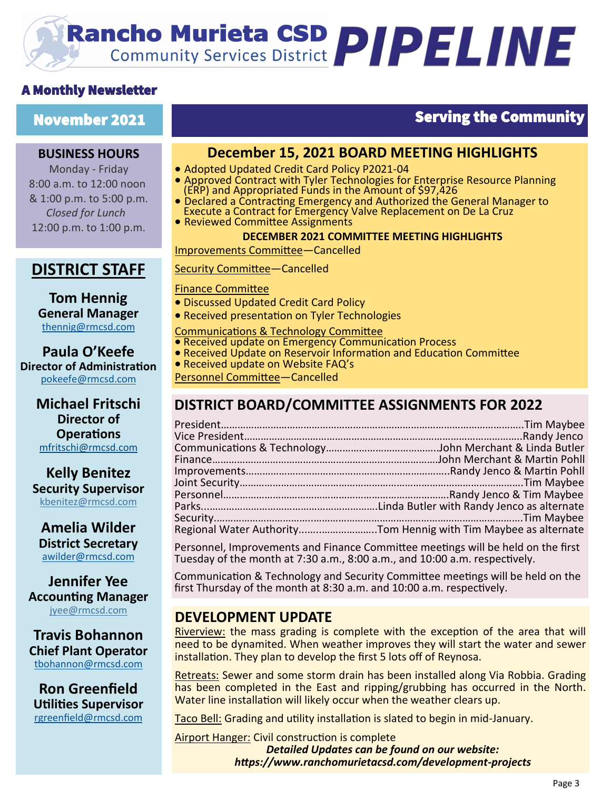# **Rancho Murieta CSD PIPELINE**

#### A Monthly Newsletter

#### **BUSINESS HOURS**

Monday - Friday 8:00 a.m. to 12:00 noon & 1:00 p.m. to 5:00 p.m. *Closed for Lunch*  12:00 p.m. to 1:00 p.m.

### **DISTRICT STAFF**

#### **Tom Hennig General Manager** [thennig@rmcsd.com](mailto:thennig@rmcsd.com)

**Paula O'Keefe Director of Administration** pokeefe@rmcsd.com

> **Michael Fritschi Director of Operations** mfritschi@rmcsd.com

**Kelly Benitez Security Supervisor** kbenitez@rmcsd.com

**Amelia Wilder District Secretary** [awilder@rmcsd.com](mailto:jwerblun@rmcsd.com)

**Jennifer Yee Accounting Manager** jyee@rmcsd.com

**Travis Bohannon Chief Plant Operator** [tbohannon@rmcsd.com](mailto:tbohannon@rmcsd.com)

**Ron Greenfield Utilities Supervisor** [rgreenfield@rmcsd.com](mailto:tbohannon@rmcsd.com)

## November 2021 **Serving the Community** in the Serving the Community

#### **December 15, 2021 BOARD MEETING HIGHLIGHTS**

- Adopted Updated Credit Card Policy P2021-04
- Approved Contract with Tyler Technologies for Enterprise Resource Planning (ERP) and Appropriated Funds in the Amount of \$97,426
- Declared a Contracting Emergency and Authorized the General Manager to Execute a Contract for Emergency Valve Replacement on De La Cruz
- Reviewed Committee Assignments

#### **DECEMBER 2021 COMMITTEE MEETING HIGHLIGHTS**

**Improvements Committee—Cancelled** 

#### Security Committee—Cancelled Ï

#### Finance Committee

- Discussed Updated Credit Card Policy
- Received presentation on Tyler Technologies
- Communications & Technology Committee
- Received update on Emergency Communication Process
- Received Update on Reservoir Information and Education Committee
- Received update on Website FAQ's
- Personnel Committee—Cancelled

### **DISTRICT BOARD/COMMITTEE ASSIGNMENTS FOR 2022**

| Regional Water AuthorityTom Hennig with Tim Maybee as alternate |
|-----------------------------------------------------------------|

Personnel, Improvements and Finance Committee meetings will be held on the first Tuesday of the month at 7:30 a.m., 8:00 a.m., and 10:00 a.m. respectively.

Communication & Technology and Security Committee meetings will be held on the first Thursday of the month at 8:30 a.m. and 10:00 a.m. respectively.

#### **DEVELOPMENT UPDATE**

Riverview: the mass grading is complete with the exception of the area that will need to be dynamited. When weather improves they will start the water and sewer installation. They plan to develop the first 5 lots off of Reynosa.

Retreats: Sewer and some storm drain has been installed along Via Robbia. Grading has been completed in the East and ripping/grubbing has occurred in the North. Water line installation will likely occur when the weather clears up.

Taco Bell: Grading and utility installation is slated to begin in mid-January.

Airport Hanger: Civil construction is complete *Detailed Updates can be found on our website: https://www.ranchomurietacsd.com/development-projects*